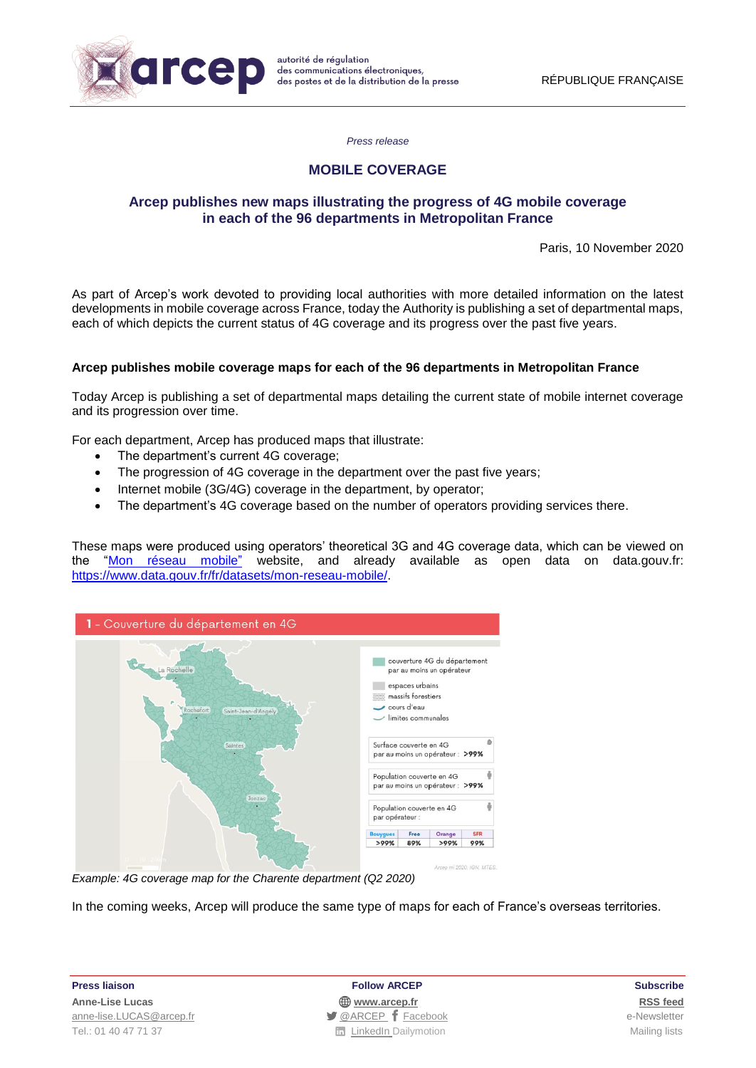

*Press release*

# **MOBILE COVERAGE**

## **Arcep publishes new maps illustrating the progress of 4G mobile coverage in each of the 96 departments in Metropolitan France**

Paris, 10 November 2020

As part of Arcep's work devoted to providing local authorities with more detailed information on the latest developments in mobile coverage across France, today the Authority is publishing a set of departmental maps, each of which depicts the current status of 4G coverage and its progress over the past five years.

## **Arcep publishes mobile coverage maps for each of the 96 departments in Metropolitan France**

Today Arcep is publishing a set of departmental maps detailing the current state of mobile internet coverage and its progression over time.

For each department, Arcep has produced maps that illustrate:

- The department's current 4G coverage;
- The progression of 4G coverage in the department over the past five years;
- Internet mobile (3G/4G) coverage in the department, by operator;
- The department's 4G coverage based on the number of operators providing services there.

These maps were produced using operators' theoretical 3G and 4G coverage data, which can be viewed on the ["Mon réseau mobile"](https://www.monreseaumobile.fr/) website, and already available as open data on data.gouv.fr: [https://www.data.gouv.fr/fr/datasets/mon-reseau-mobile/.](https://www.data.gouv.fr/fr/datasets/mon-reseau-mobile/)



*Example: 4G coverage map for the Charente department (Q2 2020)* 

In the coming weeks, Arcep will produce the same type of maps for each of France's overseas territories.

**Press liaison Follow ARCEP Subscribe**